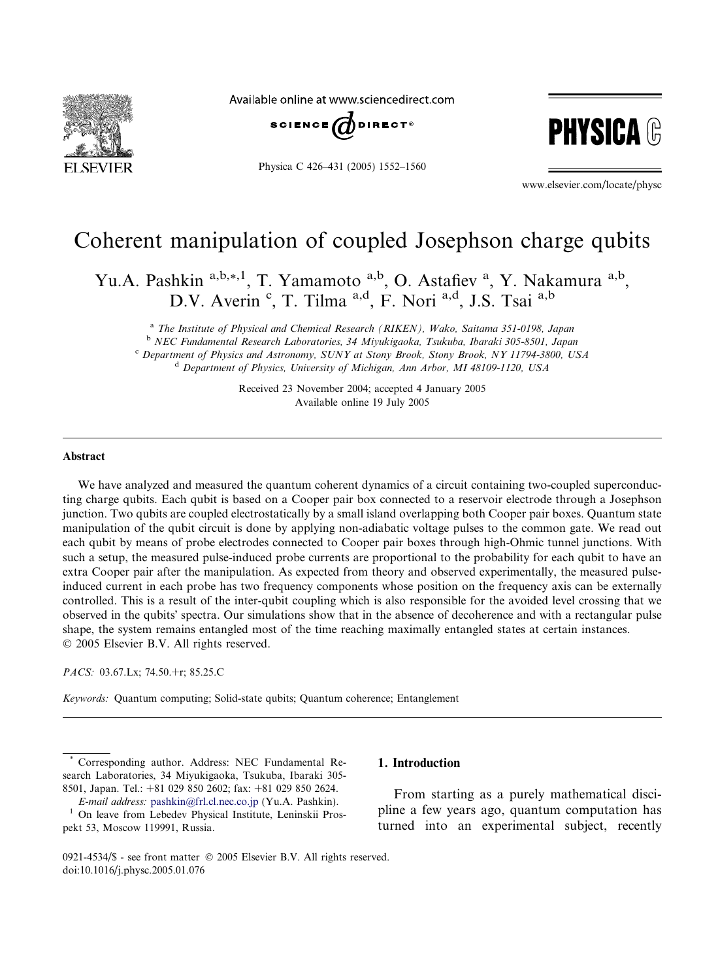

Available online at www.sciencedirect.com



Physica C 426–431 (2005) 1552–1560



www.elsevier.com/locate/physc

# Coherent manipulation of coupled Josephson charge qubits

Yu.A. Pashkin <sup>a,b,\*,1</sup>, T. Yamamoto <sup>a,b</sup>, O. Astafiev<sup>a</sup>, Y. Nakamura <sup>a,b</sup>, D.V. Averin<sup>c</sup>, T. Tilma<sup>a,d</sup>, F. Nori<sup>a,d</sup>, J.S. Tsai<sup>a,b</sup>

<sup>a</sup> The Institute of Physical and Chemical Research (RIKEN), Wako, Saitama 351-0198, Japan <sup>b</sup> NEC Fundamental Research Laboratories, 34 Miyukigaoka, Tsukuba, Ibaraki 305-8501, Japan <sup>c</sup> Department of Physics and Astronomy, SUNY at Stony Brook, Stony Brook, NY 11794-3800, USA <sup>d</sup> Department of Physics, University of Michigan, Ann Arbor, MI 48109-1120, USA

> Received 23 November 2004; accepted 4 January 2005 Available online 19 July 2005

## Abstract

We have analyzed and measured the quantum coherent dynamics of a circuit containing two-coupled superconducting charge qubits. Each qubit is based on a Cooper pair box connected to a reservoir electrode through a Josephson junction. Two qubits are coupled electrostatically by a small island overlapping both Cooper pair boxes. Quantum state manipulation of the qubit circuit is done by applying non-adiabatic voltage pulses to the common gate. We read out each qubit by means of probe electrodes connected to Cooper pair boxes through high-Ohmic tunnel junctions. With such a setup, the measured pulse-induced probe currents are proportional to the probability for each qubit to have an extra Cooper pair after the manipulation. As expected from theory and observed experimentally, the measured pulseinduced current in each probe has two frequency components whose position on the frequency axis can be externally controlled. This is a result of the inter-qubit coupling which is also responsible for the avoided level crossing that we observed in the qubits' spectra. Our simulations show that in the absence of decoherence and with a rectangular pulse shape, the system remains entangled most of the time reaching maximally entangled states at certain instances. 2005 Elsevier B.V. All rights reserved.

PACS: 03.67.Lx; 74.50.+r; 85.25.C

Keywords: Quantum computing; Solid-state qubits; Quantum coherence; Entanglement

Corresponding author. Address: NEC Fundamental Research Laboratories, 34 Miyukigaoka, Tsukuba, Ibaraki 305- 8501, Japan. Tel.: +81 029 850 2602; fax: +81 029 850 2624.

E-mail address: [pashkin@frl.cl.nec.co.jp](mailto:pashkin@frl.cl.nec.co.jp) (Yu.A. Pashkin). <sup>1</sup> On leave from Lebedev Physical Institute, Leninskii Prospekt 53, Moscow 119991, Russia.

# 1. Introduction

From starting as a purely mathematical discipline a few years ago, quantum computation has turned into an experimental subject, recently

<sup>0921-4534/\$ -</sup> see front matter © 2005 Elsevier B.V. All rights reserved. doi:10.1016/j.physc.2005.01.076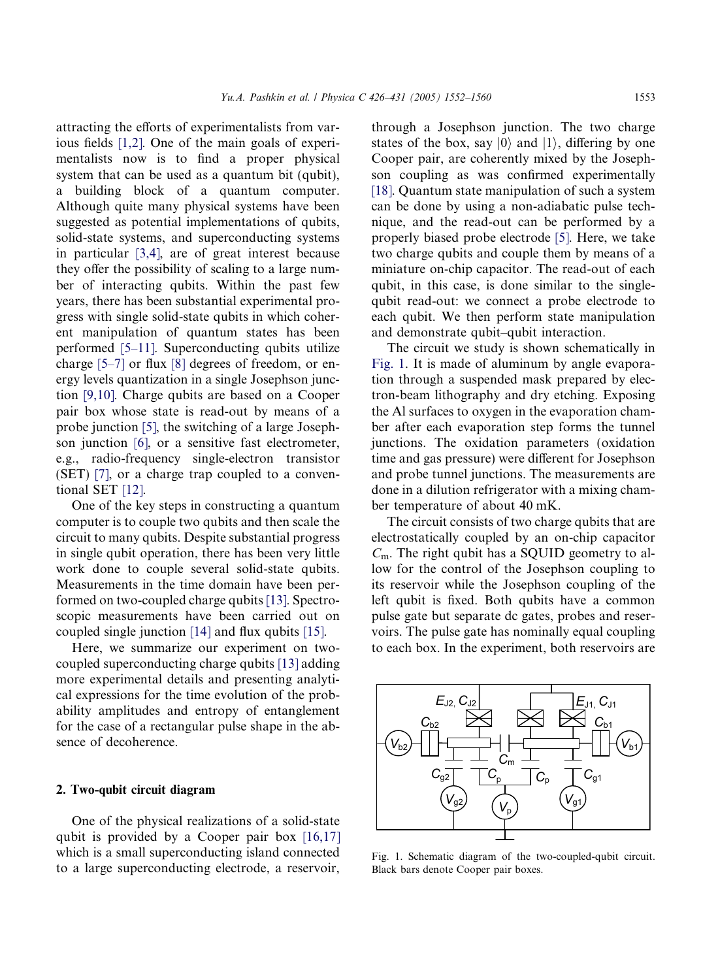<span id="page-1-0"></span>attracting the efforts of experimentalists from various fields [\[1,2\].](#page-8-0) One of the main goals of experimentalists now is to find a proper physical system that can be used as a quantum bit (qubit), a building block of a quantum computer. Although quite many physical systems have been suggested as potential implementations of qubits, solid-state systems, and superconducting systems in particular [\[3,4\]](#page-8-0), are of great interest because they offer the possibility of scaling to a large number of interacting qubits. Within the past few years, there has been substantial experimental progress with single solid-state qubits in which coherent manipulation of quantum states has been performed [\[5–11\]](#page-8-0). Superconducting qubits utilize charge [\[5–7\]](#page-8-0) or flux [\[8\]](#page-8-0) degrees of freedom, or energy levels quantization in a single Josephson junction [\[9,10\]](#page-8-0). Charge qubits are based on a Cooper pair box whose state is read-out by means of a probe junction [\[5\]](#page-8-0), the switching of a large Josephson junction [\[6\],](#page-8-0) or a sensitive fast electrometer, e.g., radio-frequency single-electron transistor (SET) [\[7\]](#page-8-0), or a charge trap coupled to a conventional SET [\[12\]](#page-8-0).

One of the key steps in constructing a quantum computer is to couple two qubits and then scale the circuit to many qubits. Despite substantial progress in single qubit operation, there has been very little work done to couple several solid-state qubits. Measurements in the time domain have been performed on two-coupled charge qubits [\[13\]](#page-8-0). Spectroscopic measurements have been carried out on coupled single junction [\[14\]](#page-8-0) and flux qubits [\[15\]](#page-8-0).

Here, we summarize our experiment on twocoupled superconducting charge qubits [\[13\]](#page-8-0) adding more experimental details and presenting analytical expressions for the time evolution of the probability amplitudes and entropy of entanglement for the case of a rectangular pulse shape in the absence of decoherence.

# 2. Two-qubit circuit diagram

One of the physical realizations of a solid-state qubit is provided by a Cooper pair box [\[16,17\]](#page-8-0) which is a small superconducting island connected to a large superconducting electrode, a reservoir,

through a Josephson junction. The two charge states of the box, say  $|0\rangle$  and  $|1\rangle$ , differing by one Cooper pair, are coherently mixed by the Josephson coupling as was confirmed experimentally [\[18\]](#page-8-0). Quantum state manipulation of such a system can be done by using a non-adiabatic pulse technique, and the read-out can be performed by a properly biased probe electrode [\[5\]](#page-8-0). Here, we take two charge qubits and couple them by means of a miniature on-chip capacitor. The read-out of each qubit, in this case, is done similar to the singlequbit read-out: we connect a probe electrode to each qubit. We then perform state manipulation and demonstrate qubit–qubit interaction.

The circuit we study is shown schematically in Fig. 1. It is made of aluminum by angle evaporation through a suspended mask prepared by electron-beam lithography and dry etching. Exposing the Al surfaces to oxygen in the evaporation chamber after each evaporation step forms the tunnel junctions. The oxidation parameters (oxidation time and gas pressure) were different for Josephson and probe tunnel junctions. The measurements are done in a dilution refrigerator with a mixing chamber temperature of about 40 mK.

The circuit consists of two charge qubits that are electrostatically coupled by an on-chip capacitor  $C<sub>m</sub>$ . The right qubit has a SQUID geometry to allow for the control of the Josephson coupling to its reservoir while the Josephson coupling of the left qubit is fixed. Both qubits have a common pulse gate but separate dc gates, probes and reservoirs. The pulse gate has nominally equal coupling to each box. In the experiment, both reservoirs are



Fig. 1. Schematic diagram of the two-coupled-qubit circuit. Black bars denote Cooper pair boxes.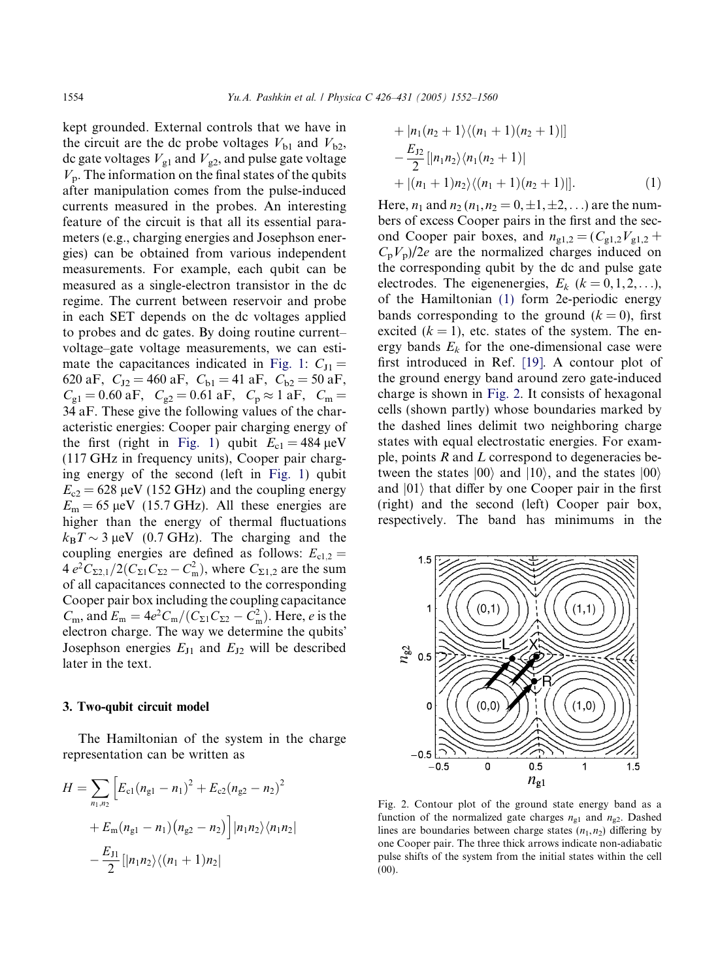<span id="page-2-0"></span>kept grounded. External controls that we have in the circuit are the dc probe voltages  $V_{b1}$  and  $V_{b2}$ , dc gate voltages  $V_{\text{gl}}$  and  $V_{\text{g2}}$ , and pulse gate voltage  $V_p$ . The information on the final states of the qubits after manipulation comes from the pulse-induced currents measured in the probes. An interesting feature of the circuit is that all its essential parameters (e.g., charging energies and Josephson energies) can be obtained from various independent measurements. For example, each qubit can be measured as a single-electron transistor in the dc regime. The current between reservoir and probe in each SET depends on the dc voltages applied to probes and dc gates. By doing routine current– voltage–gate voltage measurements, we can esti-mate the capacitances indicated in [Fig. 1](#page-1-0):  $C_{J1}$  = 620 aF,  $C_{J2} = 460$  aF,  $C_{b1} = 41$  aF,  $C_{b2} = 50$  aF,  $C_{g1} = 0.60$  aF,  $C_{g2} = 0.61$  aF,  $C_p \approx 1$  aF,  $C_m =$ 34 aF. These give the following values of the characteristic energies: Cooper pair charging energy of the first (right in [Fig. 1](#page-1-0)) qubit  $E_{c1} = 484 \,\text{\mu eV}$ (117 GHz in frequency units), Cooper pair charging energy of the second (left in [Fig. 1](#page-1-0)) qubit  $E_{c2}$  = 628 µeV (152 GHz) and the coupling energy  $E_m = 65 \,\text{\mu eV}$  (15.7 GHz). All these energies are higher than the energy of thermal fluctuations  $k_{\rm B}T \sim 3 \,\mu{\rm eV}$  (0.7 GHz). The charging and the coupling energies are defined as follows:  $E_{c1,2}$  = 4  $e^2 C_{\Sigma 2,1}/2(C_{\Sigma 1} C_{\Sigma 2} - C_m^2)$ , where  $C_{\Sigma 1,2}$  are the sum of all capacitances connected to the corresponding Cooper pair box including the coupling capacitance  $C_m$ , and  $E_m = 4e^2 C_m / (C_{\Sigma1}C_{\Sigma2} - C_m^2)$ . Here, *e* is the electron charge. The way we determine the qubits Josephson energies  $E_{J1}$  and  $E_{J2}$  will be described later in the text.

#### 3. Two-qubit circuit model

The Hamiltonian of the system in the charge representation can be written as

$$
H = \sum_{n_1, n_2} \left[ E_{c1} (n_{g1} - n_1)^2 + E_{c2} (n_{g2} - n_2)^2 + E_{m} (n_{g1} - n_1) (n_{g2} - n_2) \right] |n_1 n_2\rangle \langle n_1 n_2| - \frac{E_{J1}}{2} \left[ |n_1 n_2\rangle \langle (n_1 + 1) n_2| \right]
$$

+ 
$$
|n_1(n_2 + 1)\langle (n_1 + 1)(n_2 + 1)|
$$
]  
\n $-\frac{E_{12}}{2} [|n_1n_2\rangle\langle n_1(n_2 + 1)|$   
\n $+ |(n_1 + 1)n_2\rangle\langle (n_1 + 1)(n_2 + 1)|].$  (1)

Here,  $n_1$  and  $n_2$  ( $n_1$ ,  $n_2 = 0, \pm 1, \pm 2, \ldots$ ) are the numbers of excess Cooper pairs in the first and the second Cooper pair boxes, and  $n_{g1,2} = (C_{g1,2}V_{g1,2} +$  $C_pV_p/2e$  are the normalized charges induced on the corresponding qubit by the dc and pulse gate electrodes. The eigenenergies,  $E_k$  ( $k = 0, 1, 2, \ldots$ ), of the Hamiltonian (1) form 2e-periodic energy bands corresponding to the ground  $(k = 0)$ , first excited  $(k = 1)$ , etc. states of the system. The energy bands  $E_k$  for the one-dimensional case were first introduced in Ref. [\[19\]](#page-8-0). A contour plot of the ground energy band around zero gate-induced charge is shown in Fig. 2. It consists of hexagonal cells (shown partly) whose boundaries marked by the dashed lines delimit two neighboring charge states with equal electrostatic energies. For example, points  $R$  and  $L$  correspond to degeneracies between the states  $|00\rangle$  and  $|10\rangle$ , and the states  $|00\rangle$ and  $|01\rangle$  that differ by one Cooper pair in the first (right) and the second (left) Cooper pair box, respectively. The band has minimums in the



Fig. 2. Contour plot of the ground state energy band as a function of the normalized gate charges  $n_{\rm g1}$  and  $n_{\rm g2}$ . Dashed lines are boundaries between charge states  $(n_1, n_2)$  differing by one Cooper pair. The three thick arrows indicate non-adiabatic pulse shifts of the system from the initial states within the cell (00).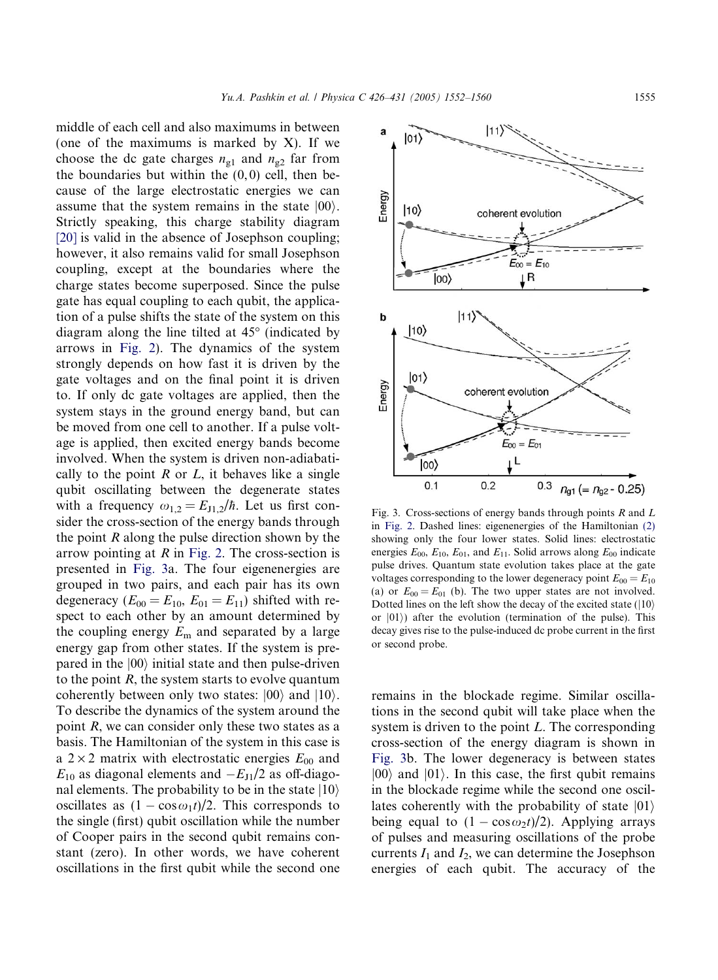middle of each cell and also maximums in between (one of the maximums is marked by  $X$ ). If we choose the dc gate charges  $n_{g1}$  and  $n_{g2}$  far from the boundaries but within the  $(0, 0)$  cell, then because of the large electrostatic energies we can assume that the system remains in the state  $|00\rangle$ . Strictly speaking, this charge stability diagram [\[20\]](#page-8-0) is valid in the absence of Josephson coupling; however, it also remains valid for small Josephson coupling, except at the boundaries where the charge states become superposed. Since the pulse gate has equal coupling to each qubit, the application of a pulse shifts the state of the system on this diagram along the line tilted at  $45^{\circ}$  (indicated by arrows in [Fig. 2\)](#page-2-0). The dynamics of the system strongly depends on how fast it is driven by the gate voltages and on the final point it is driven to. If only dc gate voltages are applied, then the system stays in the ground energy band, but can be moved from one cell to another. If a pulse voltage is applied, then excited energy bands become involved. When the system is driven non-adiabatically to the point  $R$  or  $L$ , it behaves like a single qubit oscillating between the degenerate states with a frequency  $\omega_{1,2} = E_{J1,2}/\hbar$ . Let us first consider the cross-section of the energy bands through the point  $R$  along the pulse direction shown by the arrow pointing at  $R$  in [Fig. 2](#page-2-0). The cross-section is presented in Fig. 3a. The four eigenenergies are grouped in two pairs, and each pair has its own degeneracy ( $E_{00} = E_{10}$ ,  $E_{01} = E_{11}$ ) shifted with respect to each other by an amount determined by the coupling energy  $E_m$  and separated by a large energy gap from other states. If the system is prepared in the  $|00\rangle$  initial state and then pulse-driven to the point  $R$ , the system starts to evolve quantum coherently between only two states:  $|00\rangle$  and  $|10\rangle$ . To describe the dynamics of the system around the point R, we can consider only these two states as a basis. The Hamiltonian of the system in this case is a  $2 \times 2$  matrix with electrostatic energies  $E_{00}$  and  $E_{10}$  as diagonal elements and  $-E_{J1}/2$  as off-diagonal elements. The probability to be in the state  $|10\rangle$ oscillates as  $(1 - \cos \omega_1 t)/2$ . This corresponds to the single (first) qubit oscillation while the number of Cooper pairs in the second qubit remains constant (zero). In other words, we have coherent oscillations in the first qubit while the second one



Fig. 3. Cross-sections of energy bands through points  $R$  and  $L$ in [Fig. 2.](#page-2-0) Dashed lines: eigenenergies of the Hamiltonian [\(2\)](#page-4-0) showing only the four lower states. Solid lines: electrostatic energies  $E_{00}$ ,  $E_{10}$ ,  $E_{01}$ , and  $E_{11}$ . Solid arrows along  $E_{00}$  indicate pulse drives. Quantum state evolution takes place at the gate voltages corresponding to the lower degeneracy point  $E_{00} = E_{10}$ (a) or  $E_{00} = E_{01}$  (b). The two upper states are not involved. Dotted lines on the left show the decay of the excited state  $(|10\rangle)$ or  $|01\rangle$ ) after the evolution (termination of the pulse). This decay gives rise to the pulse-induced dc probe current in the first or second probe.

remains in the blockade regime. Similar oscillations in the second qubit will take place when the system is driven to the point L. The corresponding cross-section of the energy diagram is shown in Fig. 3b. The lower degeneracy is between states  $|00\rangle$  and  $|01\rangle$ . In this case, the first qubit remains in the blockade regime while the second one oscillates coherently with the probability of state  $|01\rangle$ being equal to  $(1 - \cos \omega_2 t)/2$ . Applying arrays of pulses and measuring oscillations of the probe currents  $I_1$  and  $I_2$ , we can determine the Josephson energies of each qubit. The accuracy of the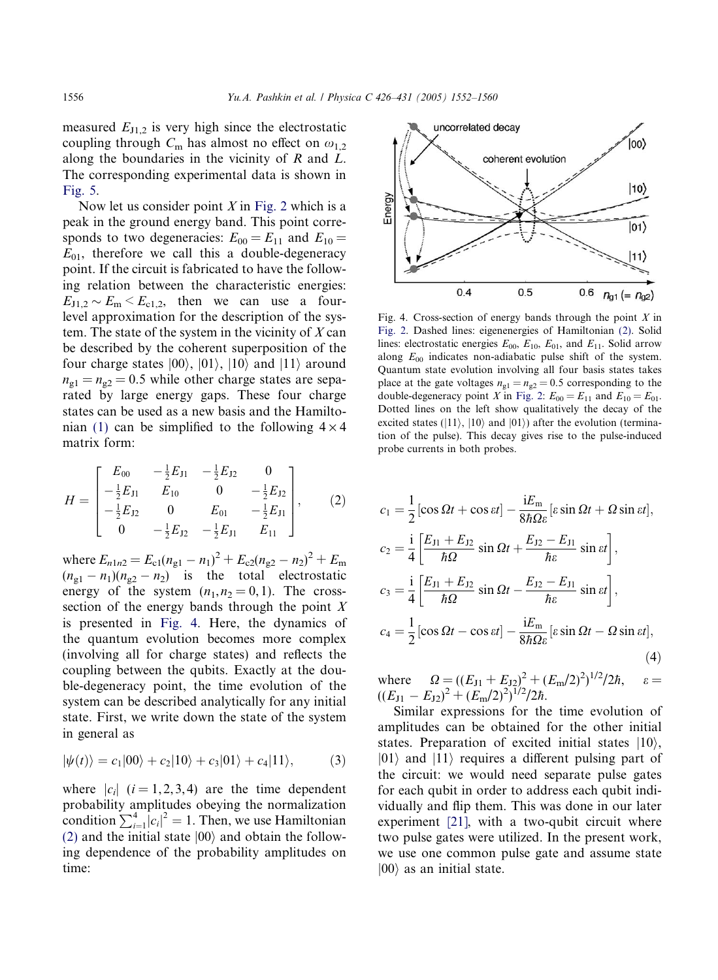<span id="page-4-0"></span>measured  $E_{J1,2}$  is very high since the electrostatic coupling through  $C_m$  has almost no effect on  $\omega_{1,2}$ along the boundaries in the vicinity of R and L. The corresponding experimental data is shown in [Fig. 5.](#page-5-0)

Now let us consider point  $X$  in [Fig. 2](#page-2-0) which is a peak in the ground energy band. This point corresponds to two degeneracies:  $E_{00} = E_{11}$  and  $E_{10} =$  $E_{01}$ , therefore we call this a double-degeneracy point. If the circuit is fabricated to have the following relation between the characteristic energies:  $E_{J1,2} \sim E_m \le E_{c1,2}$ , then we can use a fourlevel approximation for the description of the system. The state of the system in the vicinity of  $X$  can be described by the coherent superposition of the four charge states  $|00\rangle$ ,  $|01\rangle$ ,  $|10\rangle$  and  $|11\rangle$  around  $n_{g1} = n_{g2} = 0.5$  while other charge states are separated by large energy gaps. These four charge states can be used as a new basis and the Hamilto-nian [\(1\)](#page-2-0) can be simplified to the following  $4 \times 4$ matrix form:

$$
H = \begin{bmatrix} E_{00} & -\frac{1}{2}E_{J1} & -\frac{1}{2}E_{J2} & 0\\ -\frac{1}{2}E_{J1} & E_{10} & 0 & -\frac{1}{2}E_{J2}\\ -\frac{1}{2}E_{J2} & 0 & E_{01} & -\frac{1}{2}E_{J1}\\ 0 & -\frac{1}{2}E_{J2} & -\frac{1}{2}E_{J1} & E_{11} \end{bmatrix},
$$
(2)

where  $E_{n1n2} = E_{c1}(n_{g1} - n_1)^2 + E_{c2}(n_{g2} - n_2)^2 + E_m$  $(n_{g1} - n_1)(n_{g2} - n_2)$  is the total electrostatic energy of the system  $(n_1, n_2 = 0, 1)$ . The crosssection of the energy bands through the point  $X$ is presented in Fig. 4. Here, the dynamics of the quantum evolution becomes more complex (involving all for charge states) and reflects the coupling between the qubits. Exactly at the double-degeneracy point, the time evolution of the system can be described analytically for any initial state. First, we write down the state of the system in general as

$$
|\psi(t)\rangle = c_1|00\rangle + c_2|10\rangle + c_3|01\rangle + c_4|11\rangle, \tag{3}
$$

where  $|c_i|$  ( $i = 1, 2, 3, 4$ ) are the time dependent probability amplitudes obeying the normalization condition  $\sum_{i=1}^{4} |c_i|^2 = 1$ . Then, we use Hamiltonian (2) and the initial state  $|00\rangle$  and obtain the following dependence of the probability amplitudes on time:



Fig. 4. Cross-section of energy bands through the point  $X$  in [Fig. 2.](#page-2-0) Dashed lines: eigenenergies of Hamiltonian (2). Solid lines: electrostatic energies  $E_{00}$ ,  $E_{10}$ ,  $E_{01}$ , and  $E_{11}$ . Solid arrow along  $E_{00}$  indicates non-adiabatic pulse shift of the system. Quantum state evolution involving all four basis states takes place at the gate voltages  $n_{\text{gl}} = n_{\text{g2}} = 0.5$  corresponding to the double-degeneracy point X in [Fig. 2](#page-2-0):  $E_{00} = E_{11}$  and  $E_{10} = E_{01}$ . Dotted lines on the left show qualitatively the decay of the excited states ( $|11\rangle$ ,  $|10\rangle$  and  $|01\rangle$ ) after the evolution (termination of the pulse). This decay gives rise to the pulse-induced probe currents in both probes.

$$
c_1 = \frac{1}{2} [\cos \Omega t + \cos \varepsilon t] - \frac{iE_m}{8\hbar \Omega \varepsilon} [\varepsilon \sin \Omega t + \Omega \sin \varepsilon t],
$$
  
\n
$$
c_2 = \frac{i}{4} \left[ \frac{E_{J1} + E_{J2}}{\hbar \Omega} \sin \Omega t + \frac{E_{J2} - E_{J1}}{\hbar \varepsilon} \sin \varepsilon t \right],
$$
  
\n
$$
c_3 = \frac{i}{4} \left[ \frac{E_{J1} + E_{J2}}{\hbar \Omega} \sin \Omega t - \frac{E_{J2} - E_{J1}}{\hbar \varepsilon} \sin \varepsilon t \right],
$$
  
\n
$$
c_4 = \frac{1}{2} [\cos \Omega t - \cos \varepsilon t] - \frac{iE_m}{8\hbar \Omega \varepsilon} [\varepsilon \sin \Omega t - \Omega \sin \varepsilon t],
$$
  
\n(4)

where  $\Omega = ((E_{J1} + E_{J2})^2 + (E_m/2)^2)^{1/2}/2\hbar, \quad \varepsilon =$  $((E_{J1}-E_{J2})^2+(E_m/2)^2)^{1/2}/2\hbar$ .

Similar expressions for the time evolution of amplitudes can be obtained for the other initial states. Preparation of excited initial states  $|10\rangle$ ,  $|01\rangle$  and  $|11\rangle$  requires a different pulsing part of the circuit: we would need separate pulse gates for each qubit in order to address each qubit individually and flip them. This was done in our later experiment [\[21\],](#page-8-0) with a two-qubit circuit where two pulse gates were utilized. In the present work, we use one common pulse gate and assume state  $|00\rangle$  as an initial state.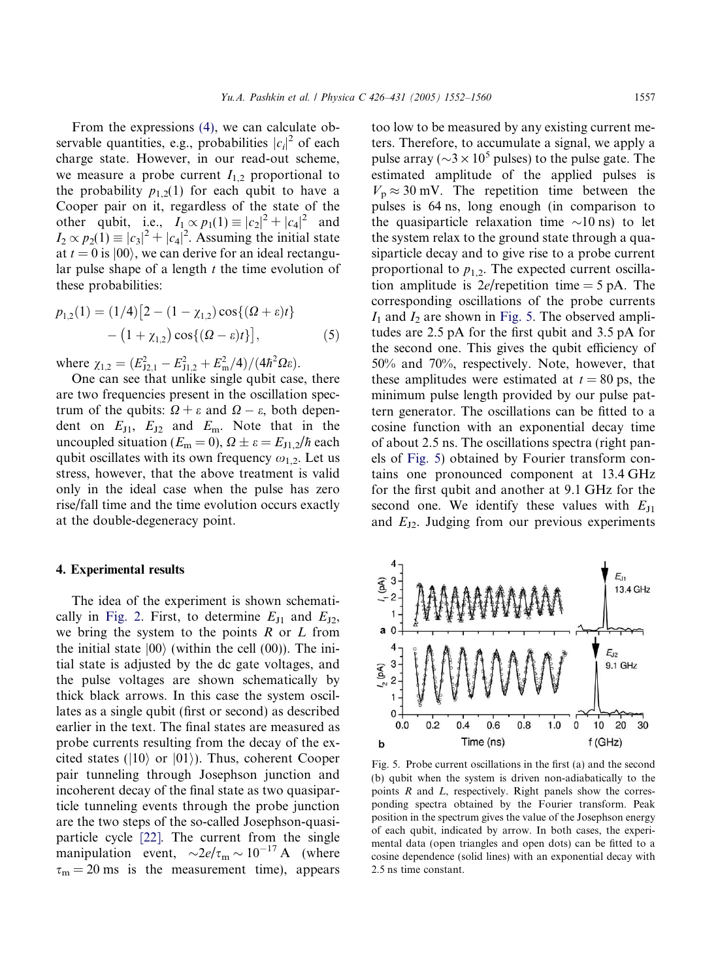<span id="page-5-0"></span>From the expressions [\(4\),](#page-4-0) we can calculate observable quantities, e.g., probabilities  $|c_i|^2$  of each charge state. However, in our read-out scheme, we measure a probe current  $I_{1,2}$  proportional to the probability  $p_{1,2}(1)$  for each qubit to have a Cooper pair on it, regardless of the state of the other qubit, i.e.,  $I_1 \propto p_1(1) \equiv |c_2|^2 + |c_4|^2$  and  $I_2 \propto p_2(1) \equiv |c_3|^2 + |c_4|^2$ . Assuming the initial state at  $t = 0$  is  $|00\rangle$ , we can derive for an ideal rectangular pulse shape of a length  $t$  the time evolution of these probabilities:

$$
p_{1,2}(1) = (1/4) [2 - (1 - \chi_{1,2}) \cos\{(\Omega + \varepsilon)t\} - (1 + \chi_{1,2}) \cos\{(\Omega - \varepsilon)t\}],
$$
 (5)

where  $\chi_{1,2} = (E_{J2,1}^2 - E_{J1,2}^2 + E_{m}^2/4)/(4\hbar^2 \Omega \varepsilon).$ 

One can see that unlike single qubit case, there are two frequencies present in the oscillation spectrum of the qubits:  $\Omega + \varepsilon$  and  $\Omega - \varepsilon$ , both dependent on  $E_{11}$ ,  $E_{12}$  and  $E_{m}$ . Note that in the uncoupled situation ( $E_m = 0$ ),  $\Omega \pm \varepsilon = E_{J1,2}/\hbar$  each qubit oscillates with its own frequency  $\omega_{1,2}$ . Let us stress, however, that the above treatment is valid only in the ideal case when the pulse has zero rise/fall time and the time evolution occurs exactly at the double-degeneracy point.

### 4. Experimental results

The idea of the experiment is shown schemati-cally in [Fig. 2.](#page-2-0) First, to determine  $E_{11}$  and  $E_{12}$ , we bring the system to the points  $R$  or  $L$  from the initial state  $|00\rangle$  (within the cell (00)). The initial state is adjusted by the dc gate voltages, and the pulse voltages are shown schematically by thick black arrows. In this case the system oscillates as a single qubit (first or second) as described earlier in the text. The final states are measured as probe currents resulting from the decay of the excited states ( $|10\rangle$  or  $|01\rangle$ ). Thus, coherent Cooper pair tunneling through Josephson junction and incoherent decay of the final state as two quasiparticle tunneling events through the probe junction are the two steps of the so-called Josephson-quasiparticle cycle [\[22\].](#page-8-0) The current from the single manipulation event,  $\sim 2e/\tau_{\rm m} \sim 10^{-17}$  A (where  $\tau_m = 20$  ms is the measurement time), appears

too low to be measured by any existing current meters. Therefore, to accumulate a signal, we apply a pulse array ( $\sim$ 3  $\times$  10<sup>5</sup> pulses) to the pulse gate. The estimated amplitude of the applied pulses is  $V_p \approx 30$  mV. The repetition time between the pulses is 64 ns, long enough (in comparison to the quasiparticle relaxation time  $\sim$ 10 ns) to let the system relax to the ground state through a quasiparticle decay and to give rise to a probe current proportional to  $p_{1,2}$ . The expected current oscillation amplitude is  $2e$ /repetition time = 5 pA. The corresponding oscillations of the probe currents  $I_1$  and  $I_2$  are shown in Fig. 5. The observed amplitudes are 2.5 pA for the first qubit and 3.5 pA for the second one. This gives the qubit efficiency of 50% and 70%, respectively. Note, however, that these amplitudes were estimated at  $t = 80$  ps, the minimum pulse length provided by our pulse pattern generator. The oscillations can be fitted to a cosine function with an exponential decay time of about 2.5 ns. The oscillations spectra (right panels of Fig. 5) obtained by Fourier transform contains one pronounced component at 13.4 GHz for the first qubit and another at 9.1 GHz for the second one. We identify these values with  $E_{J1}$ and  $E_{J2}$ . Judging from our previous experiments



Fig. 5. Probe current oscillations in the first (a) and the second (b) qubit when the system is driven non-adiabatically to the points  $R$  and  $L$ , respectively. Right panels show the corresponding spectra obtained by the Fourier transform. Peak position in the spectrum gives the value of the Josephson energy of each qubit, indicated by arrow. In both cases, the experimental data (open triangles and open dots) can be fitted to a cosine dependence (solid lines) with an exponential decay with 2.5 ns time constant.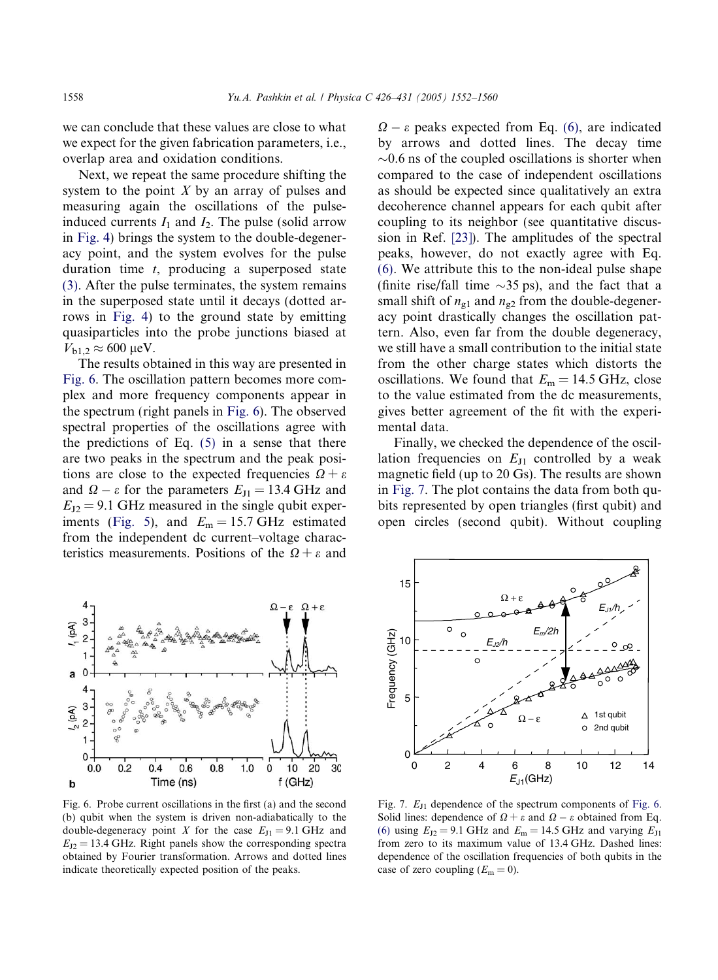<span id="page-6-0"></span>we can conclude that these values are close to what we expect for the given fabrication parameters, i.e., overlap area and oxidation conditions.

Next, we repeat the same procedure shifting the system to the point  $X$  by an array of pulses and measuring again the oscillations of the pulseinduced currents  $I_1$  and  $I_2$ . The pulse (solid arrow in [Fig. 4](#page-4-0)) brings the system to the double-degeneracy point, and the system evolves for the pulse duration time  $t$ , producing a superposed state [\(3\)](#page-4-0). After the pulse terminates, the system remains in the superposed state until it decays (dotted arrows in [Fig. 4](#page-4-0)) to the ground state by emitting quasiparticles into the probe junctions biased at  $V_{b1,2} \approx 600 \text{ }\mu\text{eV}.$ 

The results obtained in this way are presented in Fig. 6. The oscillation pattern becomes more complex and more frequency components appear in the spectrum (right panels in Fig. 6). The observed spectral properties of the oscillations agree with the predictions of Eq.  $(5)$  in a sense that there are two peaks in the spectrum and the peak positions are close to the expected frequencies  $\Omega + \varepsilon$ and  $\Omega - \varepsilon$  for the parameters  $E_{\text{J1}} = 13.4 \text{ GHz}$  and  $E_{J2} = 9.1$  GHz measured in the single qubit exper-iments [\(Fig. 5\)](#page-5-0), and  $E_m = 15.7$  GHz estimated from the independent dc current–voltage characteristics measurements. Positions of the  $\Omega + \varepsilon$  and

 $\Omega - \varepsilon$  peaks expected from Eq. [\(6\),](#page-7-0) are indicated by arrows and dotted lines. The decay time  $\sim$ 0.6 ns of the coupled oscillations is shorter when compared to the case of independent oscillations as should be expected since qualitatively an extra decoherence channel appears for each qubit after coupling to its neighbor (see quantitative discussion in Ref. [\[23\]\)](#page-8-0). The amplitudes of the spectral peaks, however, do not exactly agree with Eq. [\(6\)](#page-7-0). We attribute this to the non-ideal pulse shape (finite rise/fall time  $\sim$ 35 ps), and the fact that a small shift of  $n_{\text{gl}}$  and  $n_{\text{g}2}$  from the double-degeneracy point drastically changes the oscillation pattern. Also, even far from the double degeneracy, we still have a small contribution to the initial state from the other charge states which distorts the oscillations. We found that  $E_m = 14.5$  GHz, close to the value estimated from the dc measurements, gives better agreement of the fit with the experimental data.

Finally, we checked the dependence of the oscillation frequencies on  $E_{\text{II}}$  controlled by a weak magnetic field (up to 20 Gs). The results are shown in Fig. 7. The plot contains the data from both qubits represented by open triangles (first qubit) and open circles (second qubit). Without coupling



Fig. 6. Probe current oscillations in the first (a) and the second (b) qubit when the system is driven non-adiabatically to the double-degeneracy point X for the case  $E_{\text{J1}} = 9.1 \text{ GHz}$  and  $E_{J2}$  = 13.4 GHz. Right panels show the corresponding spectra obtained by Fourier transformation. Arrows and dotted lines indicate theoretically expected position of the peaks.



Fig. 7.  $E_{J1}$  dependence of the spectrum components of Fig. 6. Solid lines: dependence of  $\Omega + \varepsilon$  and  $\Omega - \varepsilon$  obtained from Eq. [\(6\)](#page-7-0) using  $E_{J2} = 9.1$  GHz and  $E_m = 14.5$  GHz and varying  $E_{J1}$ from zero to its maximum value of 13.4 GHz. Dashed lines: dependence of the oscillation frequencies of both qubits in the case of zero coupling  $(E_m = 0)$ .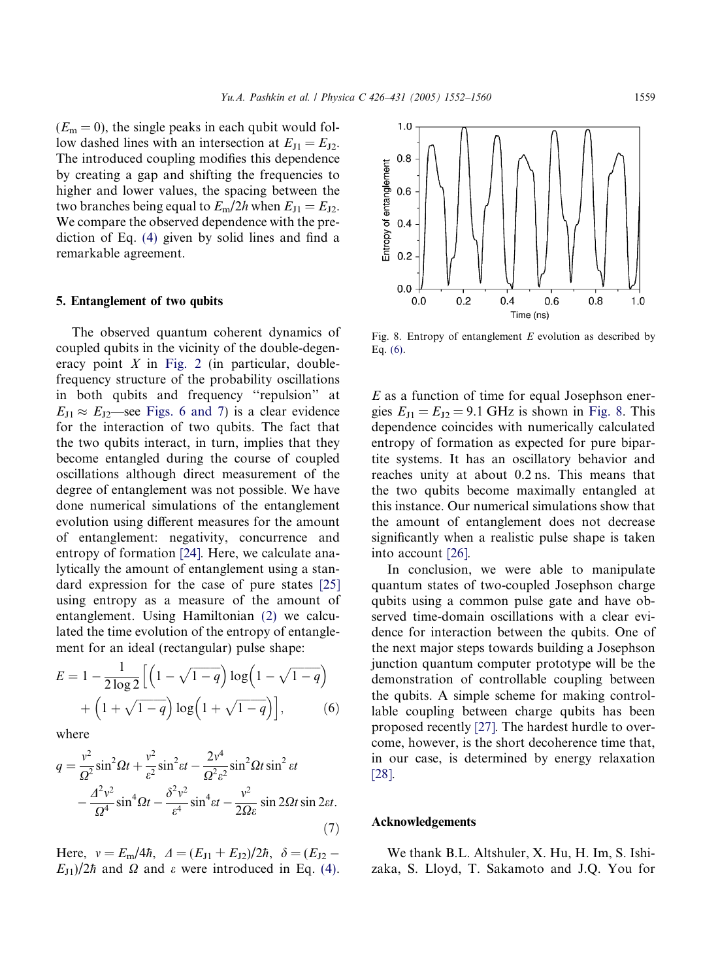<span id="page-7-0"></span> $(E_m = 0)$ , the single peaks in each qubit would follow dashed lines with an intersection at  $E_{J1} = E_{J2}$ . The introduced coupling modifies this dependence by creating a gap and shifting the frequencies to higher and lower values, the spacing between the two branches being equal to  $E_m/2h$  when  $E_{J1} = E_{J2}$ . We compare the observed dependence with the prediction of Eq. [\(4\)](#page-4-0) given by solid lines and find a remarkable agreement.

## 5. Entanglement of two qubits

The observed quantum coherent dynamics of coupled qubits in the vicinity of the double-degeneracy point  $X$  in [Fig. 2](#page-2-0) (in particular, doublefrequency structure of the probability oscillations in both qubits and frequency ''repulsion'' at  $E_{11} \approx E_{12}$ —see [Figs. 6 and 7\)](#page-6-0) is a clear evidence for the interaction of two qubits. The fact that the two qubits interact, in turn, implies that they become entangled during the course of coupled oscillations although direct measurement of the degree of entanglement was not possible. We have done numerical simulations of the entanglement evolution using different measures for the amount of entanglement: negativity, concurrence and entropy of formation [\[24\].](#page-8-0) Here, we calculate analytically the amount of entanglement using a standard expression for the case of pure states [\[25\]](#page-8-0) using entropy as a measure of the amount of entanglement. Using Hamiltonian [\(2\)](#page-4-0) we calculated the time evolution of the entropy of entanglement for an ideal (rectangular) pulse shape:

$$
E = 1 - \frac{1}{2\log 2} \left[ \left( 1 - \sqrt{1 - q} \right) \log \left( 1 - \sqrt{1 - q} \right) + \left( 1 + \sqrt{1 - q} \right) \log \left( 1 + \sqrt{1 - q} \right) \right],\tag{6}
$$

where

$$
q = \frac{v^2}{\Omega^2} \sin^2 \Omega t + \frac{v^2}{\varepsilon^2} \sin^2 \varepsilon t - \frac{2v^4}{\Omega^2 \varepsilon^2} \sin^2 \Omega t \sin^2 \varepsilon t - \frac{4^2 v^2}{\Omega^4} \sin^4 \Omega t - \frac{\delta^2 v^2}{\varepsilon^4} \sin^4 \varepsilon t - \frac{v^2}{2\Omega \varepsilon} \sin 2\Omega t \sin 2\varepsilon t.
$$
 (7)

Here,  $v = E_m/4\hbar$ ,  $\Delta = (E_{J1} + E_{J2})/2\hbar$ ,  $\delta = (E_{J2} - E_{J2})/2\hbar$  $E_{J1}/2\hbar$  and  $\Omega$  and  $\varepsilon$  were introduced in Eq. [\(4\)](#page-4-0).



Fig. 8. Entropy of entanglement  $E$  evolution as described by Eq. (6).

 $E$  as a function of time for equal Josephson energies  $E_{J1} = E_{J2} = 9.1$  GHz is shown in Fig. 8. This dependence coincides with numerically calculated entropy of formation as expected for pure bipartite systems. It has an oscillatory behavior and reaches unity at about 0.2 ns. This means that the two qubits become maximally entangled at this instance. Our numerical simulations show that the amount of entanglement does not decrease significantly when a realistic pulse shape is taken into account [\[26\]](#page-8-0).

In conclusion, we were able to manipulate quantum states of two-coupled Josephson charge qubits using a common pulse gate and have observed time-domain oscillations with a clear evidence for interaction between the qubits. One of the next major steps towards building a Josephson junction quantum computer prototype will be the demonstration of controllable coupling between the qubits. A simple scheme for making controllable coupling between charge qubits has been proposed recently [\[27\]](#page-8-0). The hardest hurdle to overcome, however, is the short decoherence time that, in our case, is determined by energy relaxation [\[28\]](#page-8-0).

## Acknowledgements

We thank B.L. Altshuler, X. Hu, H. Im, S. Ishizaka, S. Lloyd, T. Sakamoto and J.Q. You for